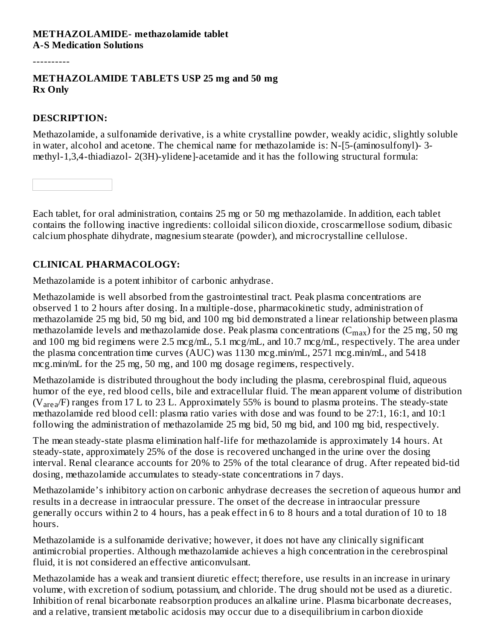#### **METHAZOLAMIDE- methazolamide tablet A-S Medication Solutions**

----------

#### **METHAZOLAMIDE TABLETS USP 25 mg and 50 mg Rx Only**

## **DESCRIPTION:**

Methazolamide, a sulfonamide derivative, is a white crystalline powder, weakly acidic, slightly soluble in water, alcohol and acetone. The chemical name for methazolamide is: N-[5-(aminosulfonyl)- 3 methyl-1,3,4-thiadiazol- 2(3H)-ylidene]-acetamide and it has the following structural formula:

Each tablet, for oral administration, contains 25 mg or 50 mg methazolamide. In addition, each tablet contains the following inactive ingredients: colloidal silicon dioxide, croscarmellose sodium, dibasic calcium phosphate dihydrate, magnesium stearate (powder), and microcrystalline cellulose.

# **CLINICAL PHARMACOLOGY:**

Methazolamide is a potent inhibitor of carbonic anhydrase.

Methazolamide is well absorbed from the gastrointestinal tract. Peak plasma concentrations are observed 1 to 2 hours after dosing. In a multiple-dose, pharmacokinetic study, administration of methazolamide 25 mg bid, 50 mg bid, and 100 mg bid demonstrated a linear relationship between plasma methazolamide levels and methazolamide dose. Peak plasma concentrations  $(\mathrm{C_{max}})$  for the 25 mg, 50 mg and 100 mg bid regimens were 2.5 mcg/mL, 5.1 mcg/mL, and 10.7 mcg/mL, respectively. The area under the plasma concentration time curves (AUC) was 1130 mcg.min/mL, 2571 mcg.min/mL, and 5418 mcg.min/mL for the 25 mg, 50 mg, and 100 mg dosage regimens, respectively.

Methazolamide is distributed throughout the body including the plasma, cerebrospinal fluid, aqueous humor of the eye, red blood cells, bile and extracellular fluid. The mean apparent volume of distribution ( $V_{\text{area}}/F$ ) ranges from 17 L to 23 L. Approximately 55% is bound to plasma proteins. The steady-state methazolamide red blood cell: plasma ratio varies with dose and was found to be 27:1, 16:1, and 10:1 following the administration of methazolamide 25 mg bid, 50 mg bid, and 100 mg bid, respectively.

The mean steady-state plasma elimination half-life for methazolamide is approximately 14 hours. At steady-state, approximately 25% of the dose is recovered unchanged in the urine over the dosing interval. Renal clearance accounts for 20% to 25% of the total clearance of drug. After repeated bid-tid dosing, methazolamide accumulates to steady-state concentrations in 7 days.

Methazolamide's inhibitory action on carbonic anhydrase decreases the secretion of aqueous humor and results in a decrease in intraocular pressure. The onset of the decrease in intraocular pressure generally occurs within 2 to 4 hours, has a peak effect in 6 to 8 hours and a total duration of 10 to 18 hours.

Methazolamide is a sulfonamide derivative; however, it does not have any clinically significant antimicrobial properties. Although methazolamide achieves a high concentration in the cerebrospinal fluid, it is not considered an effective anticonvulsant.

Methazolamide has a weak and transient diuretic effect; therefore, use results in an increase in urinary volume, with excretion of sodium, potassium, and chloride. The drug should not be used as a diuretic. Inhibition of renal bicarbonate reabsorption produces an alkaline urine. Plasma bicarbonate decreases, and a relative, transient metabolic acidosis may occur due to a disequilibrium in carbon dioxide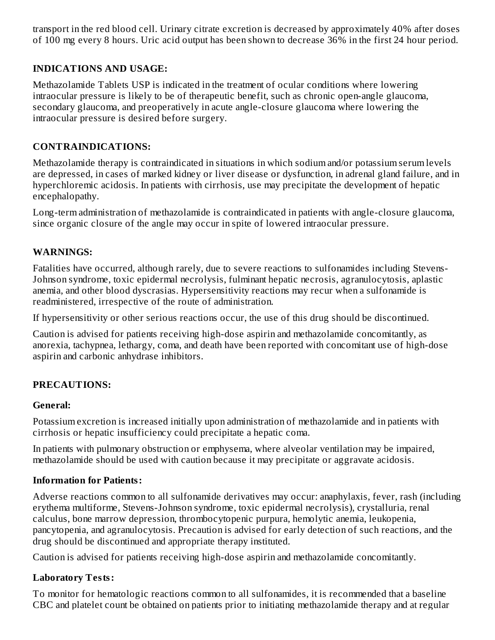transport in the red blood cell. Urinary citrate excretion is decreased by approximately 40% after doses of 100 mg every 8 hours. Uric acid output has been shown to decrease 36% in the first 24 hour period.

# **INDICATIONS AND USAGE:**

Methazolamide Tablets USP is indicated in the treatment of ocular conditions where lowering intraocular pressure is likely to be of therapeutic benefit, such as chronic open-angle glaucoma, secondary glaucoma, and preoperatively in acute angle-closure glaucoma where lowering the intraocular pressure is desired before surgery.

# **CONTRAINDICATIONS:**

Methazolamide therapy is contraindicated in situations in which sodium and/or potassium serum levels are depressed, in cases of marked kidney or liver disease or dysfunction, in adrenal gland failure, and in hyperchloremic acidosis. In patients with cirrhosis, use may precipitate the development of hepatic encephalopathy.

Long-term administration of methazolamide is contraindicated in patients with angle-closure glaucoma, since organic closure of the angle may occur in spite of lowered intraocular pressure.

# **WARNINGS:**

Fatalities have occurred, although rarely, due to severe reactions to sulfonamides including Stevens-Johnson syndrome, toxic epidermal necrolysis, fulminant hepatic necrosis, agranulocytosis, aplastic anemia, and other blood dyscrasias. Hypersensitivity reactions may recur when a sulfonamide is readministered, irrespective of the route of administration.

If hypersensitivity or other serious reactions occur, the use of this drug should be discontinued.

Caution is advised for patients receiving high-dose aspirin and methazolamide concomitantly, as anorexia, tachypnea, lethargy, coma, and death have been reported with concomitant use of high-dose aspirin and carbonic anhydrase inhibitors.

# **PRECAUTIONS:**

#### **General:**

Potassium excretion is increased initially upon administration of methazolamide and in patients with cirrhosis or hepatic insufficiency could precipitate a hepatic coma.

In patients with pulmonary obstruction or emphysema, where alveolar ventilation may be impaired, methazolamide should be used with caution because it may precipitate or aggravate acidosis.

# **Information for Patients:**

Adverse reactions common to all sulfonamide derivatives may occur: anaphylaxis, fever, rash (including erythema multiforme, Stevens-Johnson syndrome, toxic epidermal necrolysis), crystalluria, renal calculus, bone marrow depression, thrombocytopenic purpura, hemolytic anemia, leukopenia, pancytopenia, and agranulocytosis. Precaution is advised for early detection of such reactions, and the drug should be discontinued and appropriate therapy instituted.

Caution is advised for patients receiving high-dose aspirin and methazolamide concomitantly.

# **Laboratory Tests:**

To monitor for hematologic reactions common to all sulfonamides, it is recommended that a baseline CBC and platelet count be obtained on patients prior to initiating methazolamide therapy and at regular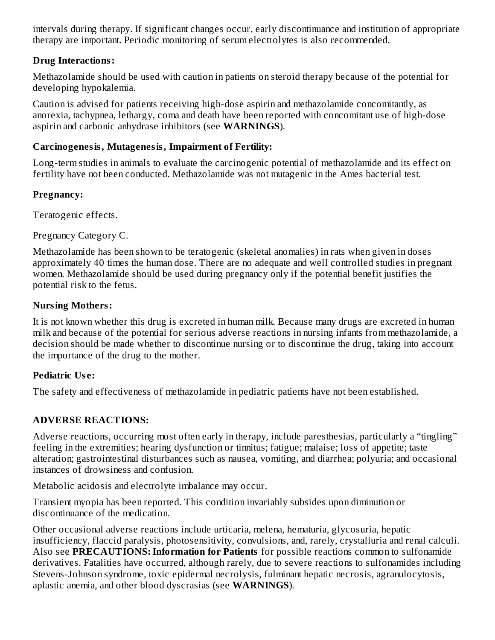intervals during therapy. If significant changes occur, early discontinuance and institution of appropriate therapy are important. Periodic monitoring of serum electrolytes is also recommended.

# **Drug Interactions:**

Methazolamide should be used with caution in patients on steroid therapy because of the potential for developing hypokalemia.

Caution is advised for patients receiving high-dose aspirin and methazolamide concomitantly, as anorexia, tachypnea, lethargy, coma and death have been reported with concomitant use of high-dose aspirin and carbonic anhydrase inhibitors (see **WARNINGS**).

# **Carcinogenesis, Mutagenesis, Impairment of Fertility:**

Long-term studies in animals to evaluate the carcinogenic potential of methazolamide and its effect on fertility have not been conducted. Methazolamide was not mutagenic in the Ames bacterial test.

# **Pregnancy:**

Teratogenic effects.

Pregnancy Category C.

Methazolamide has been shown to be teratogenic (skeletal anomalies) in rats when given in doses approximately 40 times the human dose. There are no adequate and well controlled studies in pregnant women. Methazolamide should be used during pregnancy only if the potential benefit justifies the potential risk to the fetus.

# **Nursing Mothers:**

It is not known whether this drug is excreted in human milk. Because many drugs are excreted in human milk and because of the potential for serious adverse reactions in nursing infants from methazolamide, a decision should be made whether to discontinue nursing or to discontinue the drug, taking into account the importance of the drug to the mother.

# **Pediatric Us e:**

The safety and effectiveness of methazolamide in pediatric patients have not been established.

# **ADVERSE REACTIONS:**

Adverse reactions, occurring most often early in therapy, include paresthesias, particularly a "tingling" feeling in the extremities; hearing dysfunction or tinnitus; fatigue; malaise; loss of appetite; taste alteration; gastrointestinal disturbances such as nausea, vomiting, and diarrhea; polyuria; and occasional instances of drowsiness and confusion.

Metabolic acidosis and electrolyte imbalance may occur.

Transient myopia has been reported. This condition invariably subsides upon diminution or discontinuance of the medication.

Other occasional adverse reactions include urticaria, melena, hematuria, glycosuria, hepatic insufficiency, flaccid paralysis, photosensitivity, convulsions, and, rarely, crystalluria and renal calculi. Also see **PRECAUTIONS:Information for Patients** for possible reactions common to sulfonamide derivatives. Fatalities have occurred, although rarely, due to severe reactions to sulfonamides including Stevens-Johnson syndrome, toxic epidermal necrolysis, fulminant hepatic necrosis, agranulocytosis, aplastic anemia, and other blood dyscrasias (see **WARNINGS**).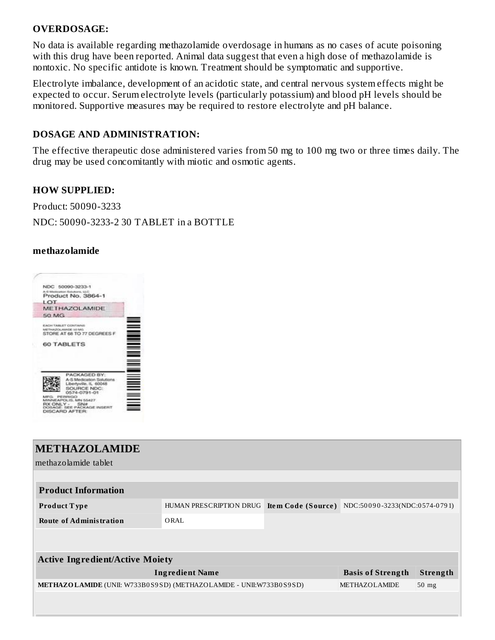#### **OVERDOSAGE:**

No data is available regarding methazolamide overdosage in humans as no cases of acute poisoning with this drug have been reported. Animal data suggest that even a high dose of methazolamide is nontoxic. No specific antidote is known. Treatment should be symptomatic and supportive.

Electrolyte imbalance, development of an acidotic state, and central nervous system effects might be expected to occur. Serum electrolyte levels (particularly potassium) and blood pH levels should be monitored. Supportive measures may be required to restore electrolyte and pH balance.

## **DOSAGE AND ADMINISTRATION:**

The effective therapeutic dose administered varies from 50 mg to 100 mg two or three times daily. The drug may be used concomitantly with miotic and osmotic agents.

#### **HOW SUPPLIED:**

Product: 50090-3233 NDC: 50090-3233-2 30 TABLET in a BOTTLE

#### **methazolamide**



| <b>METHAZOLAMIDE</b>                                               |                          |                    |                               |  |  |  |  |  |
|--------------------------------------------------------------------|--------------------------|--------------------|-------------------------------|--|--|--|--|--|
| methazolamide tablet                                               |                          |                    |                               |  |  |  |  |  |
|                                                                    |                          |                    |                               |  |  |  |  |  |
| <b>Product Information</b>                                         |                          |                    |                               |  |  |  |  |  |
| Product Type                                                       | HUMAN PRESCRIPTION DRUG  | Item Code (Source) | NDC:50090-3233(NDC:0574-0791) |  |  |  |  |  |
| <b>Route of Administration</b>                                     | ORAL                     |                    |                               |  |  |  |  |  |
|                                                                    |                          |                    |                               |  |  |  |  |  |
|                                                                    |                          |                    |                               |  |  |  |  |  |
| <b>Active Ingredient/Active Moiety</b>                             |                          |                    |                               |  |  |  |  |  |
| <b>Ingredient Name</b>                                             | <b>Basis of Strength</b> | <b>Strength</b>    |                               |  |  |  |  |  |
| METHAZOLAMIDE (UNII: W733B0S9SD) (METHAZOLAMIDE - UNII:W733B0S9SD) | METHAZOLAMIDE            | $50$ mg            |                               |  |  |  |  |  |
|                                                                    |                          |                    |                               |  |  |  |  |  |
|                                                                    |                          |                    |                               |  |  |  |  |  |